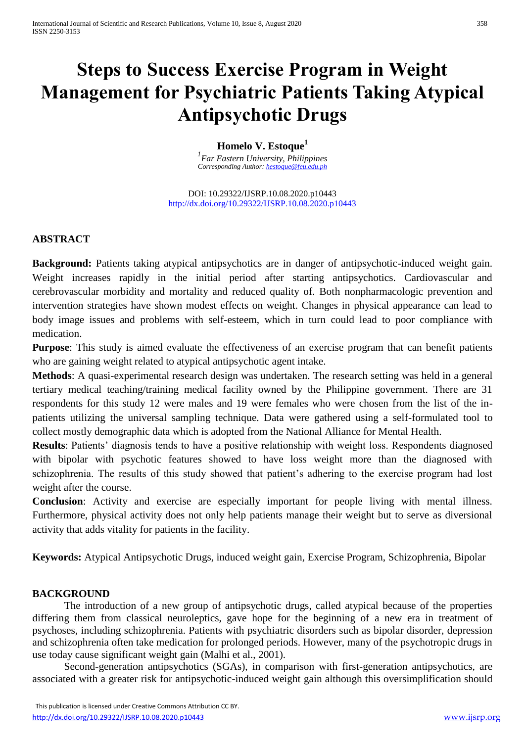# **Steps to Success Exercise Program in Weight Management for Psychiatric Patients Taking Atypical Antipsychotic Drugs**

## **Homelo V. Estoque<sup>1</sup>**

*1 Far Eastern University, Philippines Corresponding Author: [hestoque@feu.edu.ph](mailto:hestoque@feu.edu.ph)*

DOI: 10.29322/IJSRP.10.08.2020.p10443 <http://dx.doi.org/10.29322/IJSRP.10.08.2020.p10443>

# **ABSTRACT**

**Background:** Patients taking atypical antipsychotics are in danger of antipsychotic-induced weight gain. Weight increases rapidly in the initial period after starting antipsychotics. Cardiovascular and cerebrovascular morbidity and mortality and reduced quality of. Both nonpharmacologic prevention and intervention strategies have shown modest effects on weight. Changes in physical appearance can lead to body image issues and problems with self-esteem, which in turn could lead to poor compliance with medication.

**Purpose**: This study is aimed evaluate the effectiveness of an exercise program that can benefit patients who are gaining weight related to atypical antipsychotic agent intake.

**Methods**: A quasi-experimental research design was undertaken. The research setting was held in a general tertiary medical teaching/training medical facility owned by the Philippine government. There are 31 respondents for this study 12 were males and 19 were females who were chosen from the list of the inpatients utilizing the universal sampling technique. Data were gathered using a self-formulated tool to collect mostly demographic data which is adopted from the National Alliance for Mental Health.

**Results**: Patients' diagnosis tends to have a positive relationship with weight loss. Respondents diagnosed with bipolar with psychotic features showed to have loss weight more than the diagnosed with schizophrenia. The results of this study showed that patient's adhering to the exercise program had lost weight after the course.

**Conclusion**: Activity and exercise are especially important for people living with mental illness. Furthermore, physical activity does not only help patients manage their weight but to serve as diversional activity that adds vitality for patients in the facility.

**Keywords:** Atypical Antipsychotic Drugs, induced weight gain, Exercise Program, Schizophrenia, Bipolar

### **BACKGROUND**

The introduction of a new group of antipsychotic drugs, called atypical because of the properties differing them from classical neuroleptics, gave hope for the beginning of a new era in treatment of psychoses, including schizophrenia. Patients with psychiatric disorders such as bipolar disorder, depression and schizophrenia often take medication for prolonged periods. However, many of the psychotropic drugs in use today cause significant weight gain (Malhi et al., 2001).

Second-generation antipsychotics (SGAs), in comparison with first-generation antipsychotics, are associated with a greater risk for antipsychotic-induced weight gain although this oversimplification should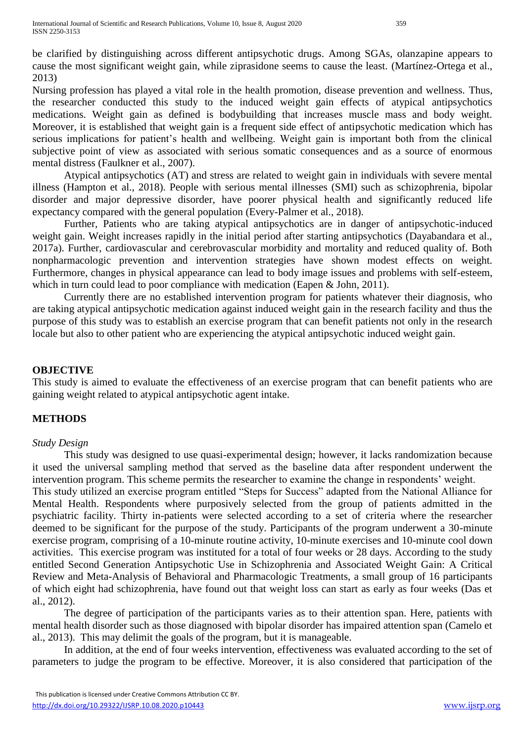be clarified by distinguishing across different antipsychotic drugs. Among SGAs, olanzapine appears to cause the most significant weight gain, while ziprasidone seems to cause the least. (Martínez-Ortega et al., 2013)

Nursing profession has played a vital role in the health promotion, disease prevention and wellness. Thus, the researcher conducted this study to the induced weight gain effects of atypical antipsychotics medications. Weight gain as defined is bodybuilding that increases muscle mass and body weight. Moreover, it is established that weight gain is a frequent side effect of antipsychotic medication which has serious implications for patient's health and wellbeing. Weight gain is important both from the clinical subjective point of view as associated with serious somatic consequences and as a source of enormous mental distress (Faulkner et al., 2007).

Atypical antipsychotics (AT) and stress are related to weight gain in individuals with severe mental illness (Hampton et al., 2018). People with serious mental illnesses (SMI) such as schizophrenia, bipolar disorder and major depressive disorder, have poorer physical health and significantly reduced life expectancy compared with the general population (Every-Palmer et al., 2018).

Further, Patients who are taking atypical antipsychotics are in danger of antipsychotic-induced weight gain. Weight increases rapidly in the initial period after starting antipsychotics (Dayabandara et al., 2017a). Further, cardiovascular and cerebrovascular morbidity and mortality and reduced quality of. Both nonpharmacologic prevention and intervention strategies have shown modest effects on weight. Furthermore, changes in physical appearance can lead to body image issues and problems with self-esteem, which in turn could lead to poor compliance with medication (Eapen & John, 2011).

Currently there are no established intervention program for patients whatever their diagnosis, who are taking atypical antipsychotic medication against induced weight gain in the research facility and thus the purpose of this study was to establish an exercise program that can benefit patients not only in the research locale but also to other patient who are experiencing the atypical antipsychotic induced weight gain.

# **OBJECTIVE**

This study is aimed to evaluate the effectiveness of an exercise program that can benefit patients who are gaining weight related to atypical antipsychotic agent intake.

# **METHODS**

### *Study Design*

This study was designed to use quasi-experimental design; however, it lacks randomization because it used the universal sampling method that served as the baseline data after respondent underwent the intervention program. This scheme permits the researcher to examine the change in respondents' weight.

This study utilized an exercise program entitled "Steps for Success" adapted from the National Alliance for Mental Health. Respondents where purposively selected from the group of patients admitted in the psychiatric facility. Thirty in-patients were selected according to a set of criteria where the researcher deemed to be significant for the purpose of the study. Participants of the program underwent a 30-minute exercise program, comprising of a 10-minute routine activity, 10-minute exercises and 10-minute cool down activities. This exercise program was instituted for a total of four weeks or 28 days. According to the study entitled Second Generation Antipsychotic Use in Schizophrenia and Associated Weight Gain: A Critical Review and Meta-Analysis of Behavioral and Pharmacologic Treatments, a small group of 16 participants of which eight had schizophrenia, have found out that weight loss can start as early as four weeks (Das et al., 2012).

The degree of participation of the participants varies as to their attention span. Here, patients with mental health disorder such as those diagnosed with bipolar disorder has impaired attention span (Camelo et al., 2013). This may delimit the goals of the program, but it is manageable.

In addition, at the end of four weeks intervention, effectiveness was evaluated according to the set of parameters to judge the program to be effective. Moreover, it is also considered that participation of the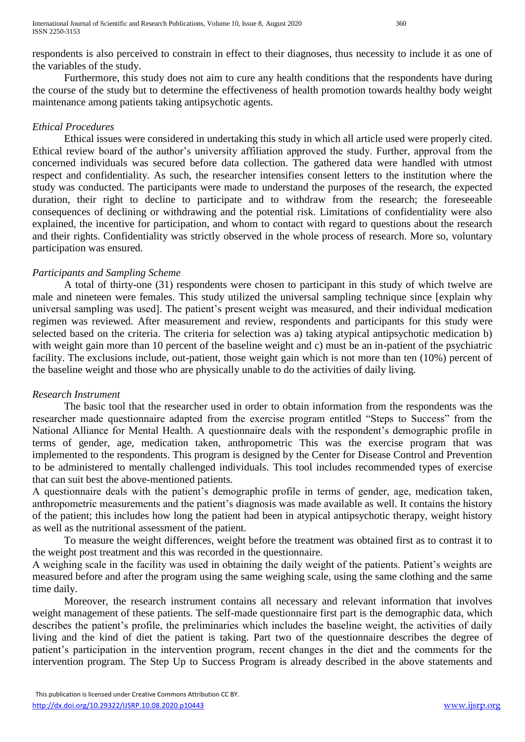respondents is also perceived to constrain in effect to their diagnoses, thus necessity to include it as one of the variables of the study.

Furthermore, this study does not aim to cure any health conditions that the respondents have during the course of the study but to determine the effectiveness of health promotion towards healthy body weight maintenance among patients taking antipsychotic agents.

# *Ethical Procedures*

Ethical issues were considered in undertaking this study in which all article used were properly cited. Ethical review board of the author's university affiliation approved the study. Further, approval from the concerned individuals was secured before data collection. The gathered data were handled with utmost respect and confidentiality. As such, the researcher intensifies consent letters to the institution where the study was conducted. The participants were made to understand the purposes of the research, the expected duration, their right to decline to participate and to withdraw from the research; the foreseeable consequences of declining or withdrawing and the potential risk. Limitations of confidentiality were also explained, the incentive for participation, and whom to contact with regard to questions about the research and their rights. Confidentiality was strictly observed in the whole process of research. More so, voluntary participation was ensured*.*

# *Participants and Sampling Scheme*

A total of thirty-one (31) respondents were chosen to participant in this study of which twelve are male and nineteen were females. This study utilized the universal sampling technique since [explain why universal sampling was used]. The patient's present weight was measured, and their individual medication regimen was reviewed. After measurement and review, respondents and participants for this study were selected based on the criteria. The criteria for selection was a) taking atypical antipsychotic medication b) with weight gain more than 10 percent of the baseline weight and c) must be an in-patient of the psychiatric facility. The exclusions include, out-patient, those weight gain which is not more than ten (10%) percent of the baseline weight and those who are physically unable to do the activities of daily living.

### *Research Instrument*

The basic tool that the researcher used in order to obtain information from the respondents was the researcher made questionnaire adapted from the exercise program entitled "Steps to Success" from the National Alliance for Mental Health. A questionnaire deals with the respondent's demographic profile in terms of gender, age, medication taken, anthropometric This was the exercise program that was implemented to the respondents. This program is designed by the Center for Disease Control and Prevention to be administered to mentally challenged individuals. This tool includes recommended types of exercise that can suit best the above-mentioned patients.

A questionnaire deals with the patient's demographic profile in terms of gender, age, medication taken, anthropometric measurements and the patient's diagnosis was made available as well. It contains the history of the patient; this includes how long the patient had been in atypical antipsychotic therapy, weight history as well as the nutritional assessment of the patient.

To measure the weight differences, weight before the treatment was obtained first as to contrast it to the weight post treatment and this was recorded in the questionnaire.

A weighing scale in the facility was used in obtaining the daily weight of the patients. Patient's weights are measured before and after the program using the same weighing scale, using the same clothing and the same time daily.

Moreover, the research instrument contains all necessary and relevant information that involves weight management of these patients. The self-made questionnaire first part is the demographic data, which describes the patient's profile, the preliminaries which includes the baseline weight, the activities of daily living and the kind of diet the patient is taking. Part two of the questionnaire describes the degree of patient's participation in the intervention program, recent changes in the diet and the comments for the intervention program. The Step Up to Success Program is already described in the above statements and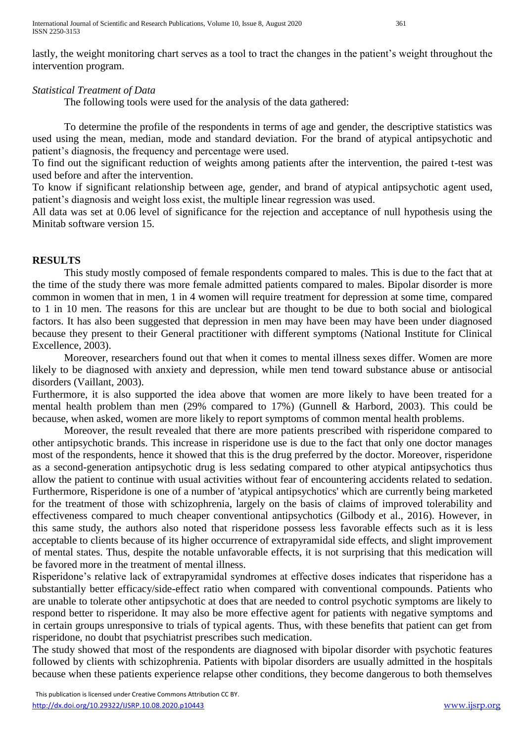International Journal of Scientific and Research Publications, Volume 10, Issue 8, August 2020 361 ISSN 2250-3153

lastly, the weight monitoring chart serves as a tool to tract the changes in the patient's weight throughout the intervention program.

# *Statistical Treatment of Data*

The following tools were used for the analysis of the data gathered:

To determine the profile of the respondents in terms of age and gender, the descriptive statistics was used using the mean, median, mode and standard deviation. For the brand of atypical antipsychotic and patient's diagnosis, the frequency and percentage were used.

To find out the significant reduction of weights among patients after the intervention, the paired t-test was used before and after the intervention.

To know if significant relationship between age, gender, and brand of atypical antipsychotic agent used, patient's diagnosis and weight loss exist, the multiple linear regression was used.

All data was set at 0.06 level of significance for the rejection and acceptance of null hypothesis using the Minitab software version 15.

# **RESULTS**

This study mostly composed of female respondents compared to males. This is due to the fact that at the time of the study there was more female admitted patients compared to males. Bipolar disorder is more common in women that in men, 1 in 4 women will require treatment for depression at some time, compared to 1 in 10 men. The reasons for this are unclear but are thought to be due to both social and biological factors. It has also been suggested that depression in men may have been may have been under diagnosed because they present to their General practitioner with different symptoms (National Institute for Clinical Excellence, 2003).

Moreover, researchers found out that when it comes to mental illness sexes differ. Women are more likely to be diagnosed with anxiety and depression, while men tend toward substance abuse or antisocial disorders (Vaillant, 2003).

Furthermore, it is also supported the idea above that women are more likely to have been treated for a mental health problem than men (29% compared to 17%) (Gunnell & Harbord, 2003). This could be because, when asked, women are more likely to report symptoms of common mental health problems.

Moreover, the result revealed that there are more patients prescribed with risperidone compared to other antipsychotic brands. This increase in risperidone use is due to the fact that only one doctor manages most of the respondents, hence it showed that this is the drug preferred by the doctor. Moreover, risperidone as a second-generation antipsychotic drug is less sedating compared to other atypical antipsychotics thus allow the patient to continue with usual activities without fear of encountering accidents related to sedation. Furthermore, Risperidone is one of a number of 'atypical antipsychotics' which are currently being marketed for the treatment of those with schizophrenia, largely on the basis of claims of improved tolerability and effectiveness compared to much cheaper conventional antipsychotics (Gilbody et al., 2016). However, in this same study, the authors also noted that risperidone possess less favorable effects such as it is less acceptable to clients because of its higher occurrence of extrapyramidal side effects, and slight improvement of mental states. Thus, despite the notable unfavorable effects, it is not surprising that this medication will be favored more in the treatment of mental illness.

Risperidone's relative lack of extrapyramidal syndromes at effective doses indicates that risperidone has a substantially better efficacy/side-effect ratio when compared with conventional compounds. Patients who are unable to tolerate other antipsychotic at does that are needed to control psychotic symptoms are likely to respond better to risperidone. It may also be more effective agent for patients with negative symptoms and in certain groups unresponsive to trials of typical agents. Thus, with these benefits that patient can get from risperidone, no doubt that psychiatrist prescribes such medication.

The study showed that most of the respondents are diagnosed with bipolar disorder with psychotic features followed by clients with schizophrenia. Patients with bipolar disorders are usually admitted in the hospitals because when these patients experience relapse other conditions, they become dangerous to both themselves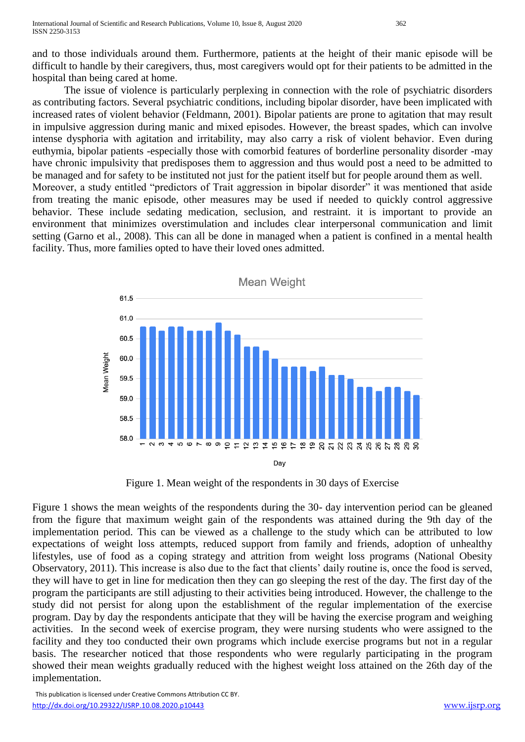and to those individuals around them. Furthermore, patients at the height of their manic episode will be difficult to handle by their caregivers, thus, most caregivers would opt for their patients to be admitted in the hospital than being cared at home.

The issue of violence is particularly perplexing in connection with the role of psychiatric disorders as contributing factors. Several psychiatric conditions, including bipolar disorder, have been implicated with increased rates of violent behavior (Feldmann, 2001). Bipolar patients are prone to agitation that may result in impulsive aggression during manic and mixed episodes. However, the breast spades, which can involve intense dysphoria with agitation and irritability, may also carry a risk of violent behavior. Even during euthymia, bipolar patients -especially those with comorbid features of borderline personality disorder -may have chronic impulsivity that predisposes them to aggression and thus would post a need to be admitted to be managed and for safety to be instituted not just for the patient itself but for people around them as well. Moreover, a study entitled "predictors of Trait aggression in bipolar disorder" it was mentioned that aside from treating the manic episode, other measures may be used if needed to quickly control aggressive behavior. These include sedating medication, seclusion, and restraint. it is important to provide an environment that minimizes overstimulation and includes clear interpersonal communication and limit setting (Garno et al., 2008). This can all be done in managed when a patient is confined in a mental health facility. Thus, more families opted to have their loved ones admitted.



Figure 1. Mean weight of the respondents in 30 days of Exercise

Figure 1 shows the mean weights of the respondents during the 30- day intervention period can be gleaned from the figure that maximum weight gain of the respondents was attained during the 9th day of the implementation period. This can be viewed as a challenge to the study which can be attributed to low expectations of weight loss attempts, reduced support from family and friends, adoption of unhealthy lifestyles, use of food as a coping strategy and attrition from weight loss programs (National Obesity Observatory, 2011). This increase is also due to the fact that clients' daily routine is, once the food is served, they will have to get in line for medication then they can go sleeping the rest of the day. The first day of the program the participants are still adjusting to their activities being introduced. However, the challenge to the study did not persist for along upon the establishment of the regular implementation of the exercise program. Day by day the respondents anticipate that they will be having the exercise program and weighing activities. In the second week of exercise program, they were nursing students who were assigned to the facility and they too conducted their own programs which include exercise programs but not in a regular basis. The researcher noticed that those respondents who were regularly participating in the program showed their mean weights gradually reduced with the highest weight loss attained on the 26th day of the implementation.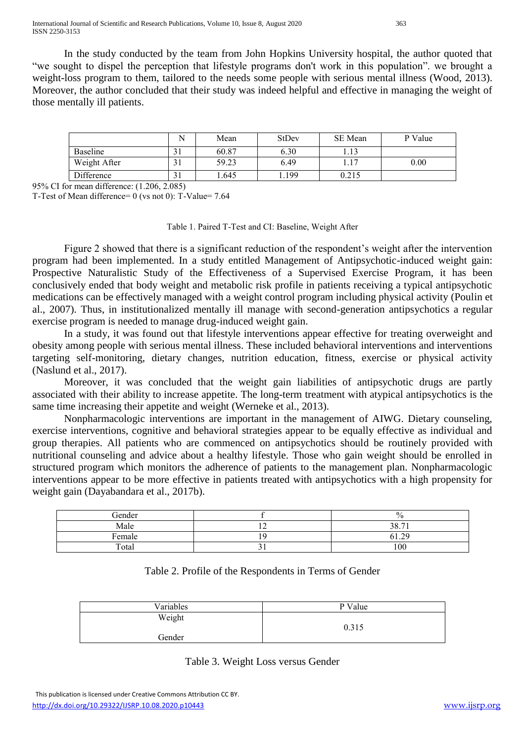International Journal of Scientific and Research Publications, Volume 10, Issue 8, August 2020 363 ISSN 2250-3153

In the study conducted by the team from John Hopkins University hospital, the author quoted that "we sought to dispel the perception that lifestyle programs don't work in this population". we brought a weight-loss program to them, tailored to the needs some people with serious mental illness (Wood, 2013). Moreover, the author concluded that their study was indeed helpful and effective in managing the weight of those mentally ill patients.

|              |     | Mean  | StDev | SE Mean | P Value |
|--------------|-----|-------|-------|---------|---------|
| Baseline     |     | 60.87 | 6.30  | 1.13    |         |
| Weight After | ـ ت | 59.23 | 6.49  | 1.17    | 0.00    |
| Difference   |     | .645  | 199   | 0.215   |         |

95% CI for mean difference: (1.206, 2.085)

T-Test of Mean difference= 0 (vs not 0): T-Value= 7.64

#### Table 1. Paired T-Test and CI: Baseline, Weight After

Figure 2 showed that there is a significant reduction of the respondent's weight after the intervention program had been implemented. In a study entitled Management of Antipsychotic-induced weight gain: Prospective Naturalistic Study of the Effectiveness of a Supervised Exercise Program, it has been conclusively ended that body weight and metabolic risk profile in patients receiving a typical antipsychotic medications can be effectively managed with a weight control program including physical activity (Poulin et al., 2007). Thus, in institutionalized mentally ill manage with second-generation antipsychotics a regular exercise program is needed to manage drug-induced weight gain.

In a study, it was found out that lifestyle interventions appear effective for treating overweight and obesity among people with serious mental illness. These included behavioral interventions and interventions targeting self-monitoring, dietary changes, nutrition education, fitness, exercise or physical activity (Naslund et al., 2017).

Moreover, it was concluded that the weight gain liabilities of antipsychotic drugs are partly associated with their ability to increase appetite. The long-term treatment with atypical antipsychotics is the same time increasing their appetite and weight (Werneke et al., 2013).

Nonpharmacologic interventions are important in the management of AIWG. Dietary counseling, exercise interventions, cognitive and behavioral strategies appear to be equally effective as individual and group therapies. All patients who are commenced on antipsychotics should be routinely provided with nutritional counseling and advice about a healthy lifestyle. Those who gain weight should be enrolled in structured program which monitors the adherence of patients to the management plan. Nonpharmacologic interventions appear to be more effective in patients treated with antipsychotics with a high propensity for weight gain (Dayabandara et al., 2017b).

| Gender | $\frac{0}{0}$ |
|--------|---------------|
| Male   | 38.71         |
| Female | 61.29         |
| Total  | 100           |

### Table 2. Profile of the Respondents in Terms of Gender

| Variables | P Value |
|-----------|---------|
| Weight    | 0.315   |
| Gender    |         |

#### Table 3. Weight Loss versus Gender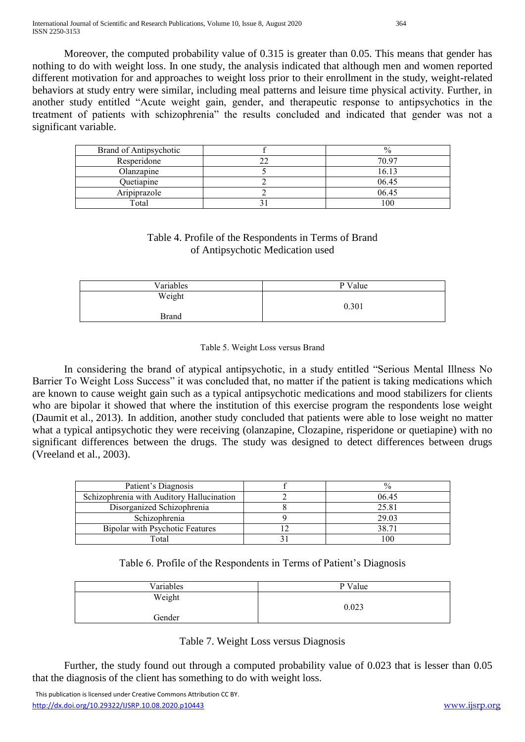Moreover, the computed probability value of 0.315 is greater than 0.05. This means that gender has nothing to do with weight loss. In one study, the analysis indicated that although men and women reported different motivation for and approaches to weight loss prior to their enrollment in the study, weight-related behaviors at study entry were similar, including meal patterns and leisure time physical activity. Further, in another study entitled "Acute weight gain, gender, and therapeutic response to antipsychotics in the treatment of patients with schizophrenia" the results concluded and indicated that gender was not a significant variable.

| Brand of Antipsychotic |          |
|------------------------|----------|
| Resperidone            | 70.97    |
| Olanzapine             | 16.13    |
| Quetiapine             | 06.45    |
| Aripiprazole           | 06.45    |
| Total                  | $\Omega$ |

# Table 4. Profile of the Respondents in Terms of Brand of Antipsychotic Medication used

| Variables    | P Value |
|--------------|---------|
| Weight       |         |
|              | 0.301   |
| <b>Brand</b> |         |

#### Table 5. Weight Loss versus Brand

In considering the brand of atypical antipsychotic, in a study entitled "Serious Mental Illness No Barrier To Weight Loss Success" it was concluded that, no matter if the patient is taking medications which are known to cause weight gain such as a typical antipsychotic medications and mood stabilizers for clients who are bipolar it showed that where the institution of this exercise program the respondents lose weight (Daumit et al., 2013). In addition, another study concluded that patients were able to lose weight no matter what a typical antipsychotic they were receiving (olanzapine, Clozapine, risperidone or quetiapine) with no significant differences between the drugs. The study was designed to detect differences between drugs (Vreeland et al., 2003).

| Patient's Diagnosis                       |       |
|-------------------------------------------|-------|
| Schizophrenia with Auditory Hallucination | 06.45 |
| Disorganized Schizophrenia                | 25.81 |
| Schizophrenia                             | 29.03 |
| <b>Bipolar with Psychotic Features</b>    | 38.71 |
| Fotal                                     |       |

Table 6. Profile of the Respondents in Terms of Patient's Diagnosis

| Variables | P Value |
|-----------|---------|
| Weight    |         |
|           | 0.023   |
| Gender    |         |

Table 7. Weight Loss versus Diagnosis

Further, the study found out through a computed probability value of 0.023 that is lesser than 0.05 that the diagnosis of the client has something to do with weight loss.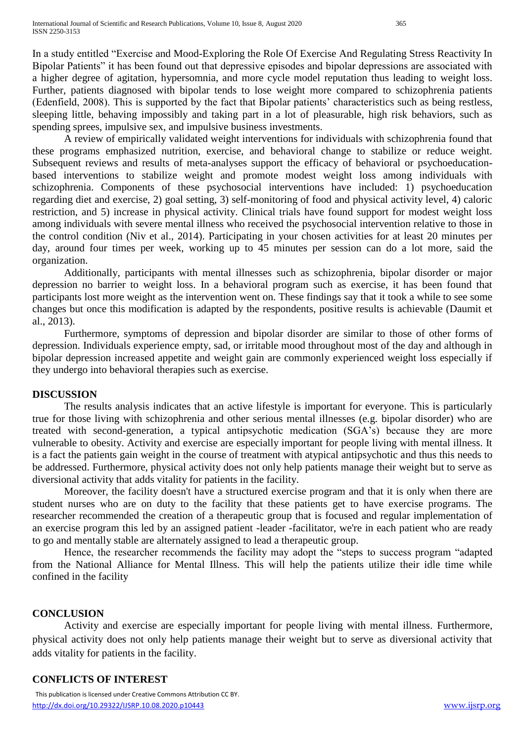In a study entitled "Exercise and Mood-Exploring the Role Of Exercise And Regulating Stress Reactivity In Bipolar Patients" it has been found out that depressive episodes and bipolar depressions are associated with a higher degree of agitation, hypersomnia, and more cycle model reputation thus leading to weight loss. Further, patients diagnosed with bipolar tends to lose weight more compared to schizophrenia patients (Edenfield, 2008). This is supported by the fact that Bipolar patients' characteristics such as being restless, sleeping little, behaving impossibly and taking part in a lot of pleasurable, high risk behaviors, such as spending sprees, impulsive sex, and impulsive business investments.

A review of empirically validated weight interventions for individuals with schizophrenia found that these programs emphasized nutrition, exercise, and behavioral change to stabilize or reduce weight. Subsequent reviews and results of meta-analyses support the efficacy of behavioral or psychoeducationbased interventions to stabilize weight and promote modest weight loss among individuals with schizophrenia. Components of these psychosocial interventions have included: 1) psychoeducation regarding diet and exercise, 2) goal setting, 3) self-monitoring of food and physical activity level, 4) caloric restriction, and 5) increase in physical activity. Clinical trials have found support for modest weight loss among individuals with severe mental illness who received the psychosocial intervention relative to those in the control condition (Niv et al., 2014). Participating in your chosen activities for at least 20 minutes per day, around four times per week, working up to 45 minutes per session can do a lot more, said the organization.

Additionally, participants with mental illnesses such as schizophrenia, bipolar disorder or major depression no barrier to weight loss. In a behavioral program such as exercise, it has been found that participants lost more weight as the intervention went on. These findings say that it took a while to see some changes but once this modification is adapted by the respondents, positive results is achievable (Daumit et al., 2013).

Furthermore, symptoms of depression and bipolar disorder are similar to those of other forms of depression. Individuals experience empty, sad, or irritable mood throughout most of the day and although in bipolar depression increased appetite and weight gain are commonly experienced weight loss especially if they undergo into behavioral therapies such as exercise.

### **DISCUSSION**

The results analysis indicates that an active lifestyle is important for everyone. This is particularly true for those living with schizophrenia and other serious mental illnesses (e.g. bipolar disorder) who are treated with second-generation, a typical antipsychotic medication (SGA's) because they are more vulnerable to obesity. Activity and exercise are especially important for people living with mental illness. It is a fact the patients gain weight in the course of treatment with atypical antipsychotic and thus this needs to be addressed. Furthermore, physical activity does not only help patients manage their weight but to serve as diversional activity that adds vitality for patients in the facility.

Moreover, the facility doesn't have a structured exercise program and that it is only when there are student nurses who are on duty to the facility that these patients get to have exercise programs. The researcher recommended the creation of a therapeutic group that is focused and regular implementation of an exercise program this led by an assigned patient -leader -facilitator, we're in each patient who are ready to go and mentally stable are alternately assigned to lead a therapeutic group.

Hence, the researcher recommends the facility may adopt the "steps to success program "adapted from the National Alliance for Mental Illness. This will help the patients utilize their idle time while confined in the facility

### **CONCLUSION**

Activity and exercise are especially important for people living with mental illness. Furthermore, physical activity does not only help patients manage their weight but to serve as diversional activity that adds vitality for patients in the facility.

### **CONFLICTS OF INTEREST**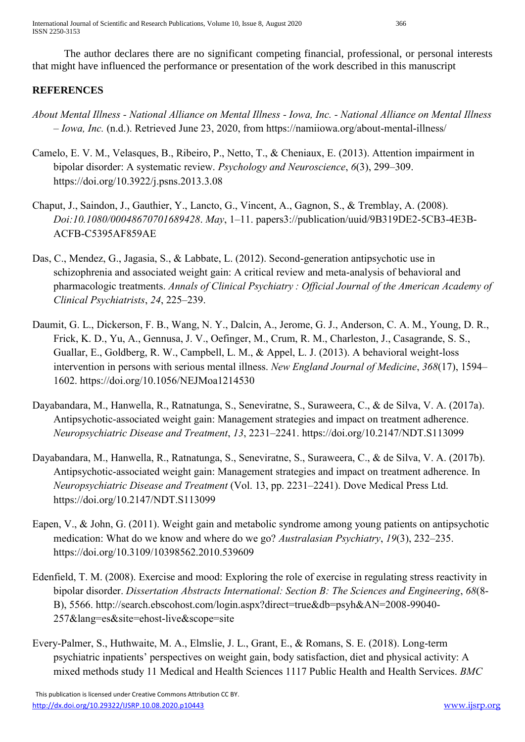International Journal of Scientific and Research Publications, Volume 10, Issue 8, August 2020 366 ISSN 2250-3153

The author declares there are no significant competing financial, professional, or personal interests that might have influenced the performance or presentation of the work described in this manuscript

## **REFERENCES**

- *About Mental Illness - National Alliance on Mental Illness - Iowa, Inc. - National Alliance on Mental Illness – Iowa, Inc.* (n.d.). Retrieved June 23, 2020, from https://namiiowa.org/about-mental-illness/
- Camelo, E. V. M., Velasques, B., Ribeiro, P., Netto, T., & Cheniaux, E. (2013). Attention impairment in bipolar disorder: A systematic review. *Psychology and Neuroscience*, *6*(3), 299–309. https://doi.org/10.3922/j.psns.2013.3.08
- Chaput, J., Saindon, J., Gauthier, Y., Lancto, G., Vincent, A., Gagnon, S., & Tremblay, A. (2008). *Doi:10.1080/00048670701689428*. *May*, 1–11. papers3://publication/uuid/9B319DE2-5CB3-4E3B-ACFB-C5395AF859AE
- Das, C., Mendez, G., Jagasia, S., & Labbate, L. (2012). Second-generation antipsychotic use in schizophrenia and associated weight gain: A critical review and meta-analysis of behavioral and pharmacologic treatments. *Annals of Clinical Psychiatry : Official Journal of the American Academy of Clinical Psychiatrists*, *24*, 225–239.
- Daumit, G. L., Dickerson, F. B., Wang, N. Y., Dalcin, A., Jerome, G. J., Anderson, C. A. M., Young, D. R., Frick, K. D., Yu, A., Gennusa, J. V., Oefinger, M., Crum, R. M., Charleston, J., Casagrande, S. S., Guallar, E., Goldberg, R. W., Campbell, L. M., & Appel, L. J. (2013). A behavioral weight-loss intervention in persons with serious mental illness. *New England Journal of Medicine*, *368*(17), 1594– 1602. https://doi.org/10.1056/NEJMoa1214530
- Dayabandara, M., Hanwella, R., Ratnatunga, S., Seneviratne, S., Suraweera, C., & de Silva, V. A. (2017a). Antipsychotic-associated weight gain: Management strategies and impact on treatment adherence. *Neuropsychiatric Disease and Treatment*, *13*, 2231–2241. https://doi.org/10.2147/NDT.S113099
- Dayabandara, M., Hanwella, R., Ratnatunga, S., Seneviratne, S., Suraweera, C., & de Silva, V. A. (2017b). Antipsychotic-associated weight gain: Management strategies and impact on treatment adherence. In *Neuropsychiatric Disease and Treatment* (Vol. 13, pp. 2231–2241). Dove Medical Press Ltd. https://doi.org/10.2147/NDT.S113099
- Eapen, V., & John, G. (2011). Weight gain and metabolic syndrome among young patients on antipsychotic medication: What do we know and where do we go? *Australasian Psychiatry*, *19*(3), 232–235. https://doi.org/10.3109/10398562.2010.539609
- Edenfield, T. M. (2008). Exercise and mood: Exploring the role of exercise in regulating stress reactivity in bipolar disorder. *Dissertation Abstracts International: Section B: The Sciences and Engineering*, *68*(8- B), 5566. http://search.ebscohost.com/login.aspx?direct=true&db=psyh&AN=2008-99040- 257&lang=es&site=ehost-live&scope=site
- Every-Palmer, S., Huthwaite, M. A., Elmslie, J. L., Grant, E., & Romans, S. E. (2018). Long-term psychiatric inpatients' perspectives on weight gain, body satisfaction, diet and physical activity: A mixed methods study 11 Medical and Health Sciences 1117 Public Health and Health Services. *BMC*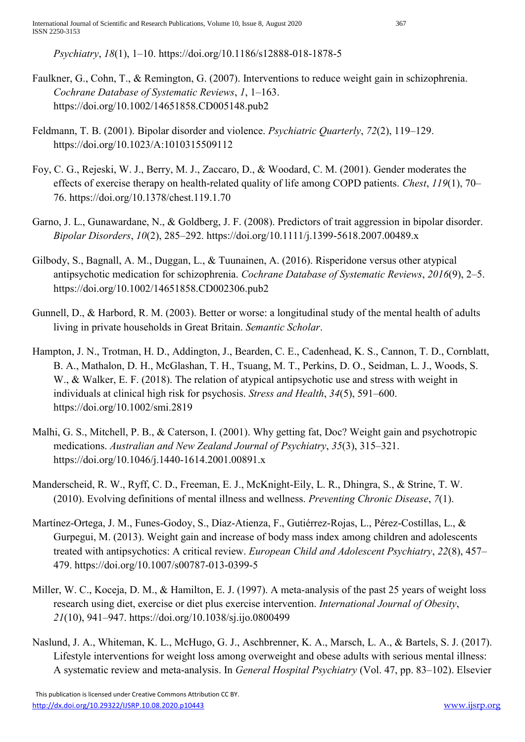*Psychiatry*, *18*(1), 1–10. https://doi.org/10.1186/s12888-018-1878-5

- Faulkner, G., Cohn, T., & Remington, G. (2007). Interventions to reduce weight gain in schizophrenia. *Cochrane Database of Systematic Reviews*, *1*, 1–163. https://doi.org/10.1002/14651858.CD005148.pub2
- Feldmann, T. B. (2001). Bipolar disorder and violence. *Psychiatric Quarterly*, *72*(2), 119–129. https://doi.org/10.1023/A:1010315509112
- Foy, C. G., Rejeski, W. J., Berry, M. J., Zaccaro, D., & Woodard, C. M. (2001). Gender moderates the effects of exercise therapy on health-related quality of life among COPD patients. *Chest*, *119*(1), 70– 76. https://doi.org/10.1378/chest.119.1.70
- Garno, J. L., Gunawardane, N., & Goldberg, J. F. (2008). Predictors of trait aggression in bipolar disorder. *Bipolar Disorders*, *10*(2), 285–292. https://doi.org/10.1111/j.1399-5618.2007.00489.x
- Gilbody, S., Bagnall, A. M., Duggan, L., & Tuunainen, A. (2016). Risperidone versus other atypical antipsychotic medication for schizophrenia. *Cochrane Database of Systematic Reviews*, *2016*(9), 2–5. https://doi.org/10.1002/14651858.CD002306.pub2
- Gunnell, D., & Harbord, R. M. (2003). Better or worse: a longitudinal study of the mental health of adults living in private households in Great Britain. *Semantic Scholar*.
- Hampton, J. N., Trotman, H. D., Addington, J., Bearden, C. E., Cadenhead, K. S., Cannon, T. D., Cornblatt, B. A., Mathalon, D. H., McGlashan, T. H., Tsuang, M. T., Perkins, D. O., Seidman, L. J., Woods, S. W., & Walker, E. F. (2018). The relation of atypical antipsychotic use and stress with weight in individuals at clinical high risk for psychosis. *Stress and Health*, *34*(5), 591–600. https://doi.org/10.1002/smi.2819
- Malhi, G. S., Mitchell, P. B., & Caterson, I. (2001). Why getting fat, Doc? Weight gain and psychotropic medications. *Australian and New Zealand Journal of Psychiatry*, *35*(3), 315–321. https://doi.org/10.1046/j.1440-1614.2001.00891.x
- Manderscheid, R. W., Ryff, C. D., Freeman, E. J., McKnight-Eily, L. R., Dhingra, S., & Strine, T. W. (2010). Evolving definitions of mental illness and wellness. *Preventing Chronic Disease*, *7*(1).
- Martínez-Ortega, J. M., Funes-Godoy, S., Díaz-Atienza, F., Gutiérrez-Rojas, L., Pérez-Costillas, L., & Gurpegui, M. (2013). Weight gain and increase of body mass index among children and adolescents treated with antipsychotics: A critical review. *European Child and Adolescent Psychiatry*, *22*(8), 457– 479. https://doi.org/10.1007/s00787-013-0399-5
- Miller, W. C., Koceja, D. M., & Hamilton, E. J. (1997). A meta-analysis of the past 25 years of weight loss research using diet, exercise or diet plus exercise intervention. *International Journal of Obesity*, *21*(10), 941–947. https://doi.org/10.1038/sj.ijo.0800499
- Naslund, J. A., Whiteman, K. L., McHugo, G. J., Aschbrenner, K. A., Marsch, L. A., & Bartels, S. J. (2017). Lifestyle interventions for weight loss among overweight and obese adults with serious mental illness: A systematic review and meta-analysis. In *General Hospital Psychiatry* (Vol. 47, pp. 83–102). Elsevier